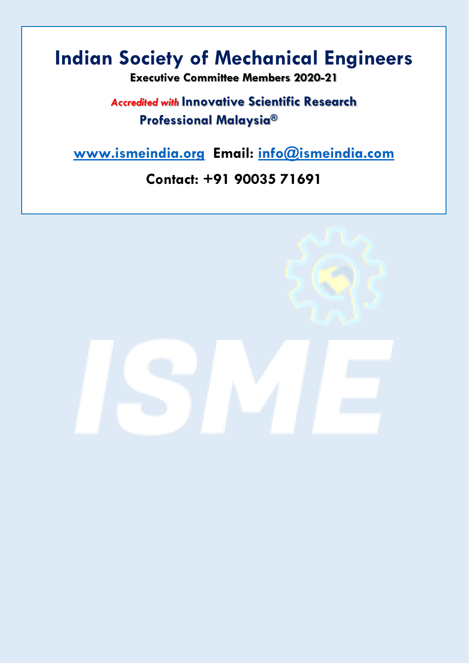## **Indian Society of Mechanical Engineers**

**Executive Committee Members 2020-21** 

## *Accredited with* **Innovative Scientific Research Professional Malaysia®**

**[www.ismeindia.org](http://www.ismeindia.org/) Email: [info@ismeindia.com](mailto:info@ismeindia.com)**

## **Contact: +91 90035 71691**

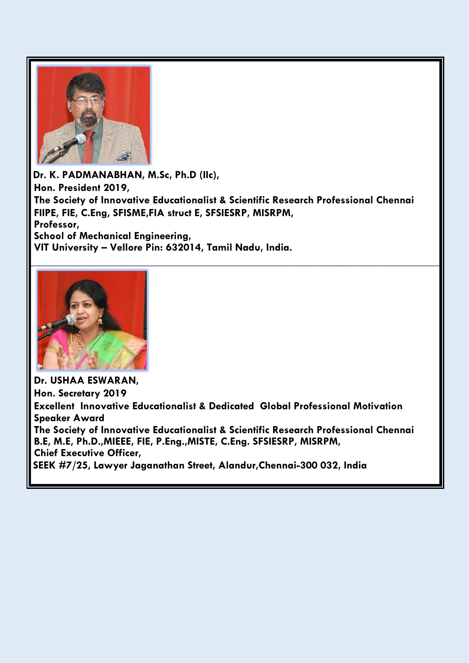

**Dr. K. PADMANABHAN, M.Sc, Ph.D (IIc), Hon. President 2019, The Society of Innovative Educationalist & Scientific Research Professional Chennai FIIPE, FIE, C.Eng, SFISME,FIA struct E, SFSIESRP, MISRPM, Professor, School of Mechanical Engineering, VIT University – Vellore Pin: 632014, Tamil Nadu, India.**



**Dr. USHAA ESWARAN, Hon. Secretary 2019 Excellent Innovative Educationalist & Dedicated Global Professional Motivation Speaker Award The Society of Innovative Educationalist & Scientific Research Professional Chennai B.E, M.E, Ph.D.,MIEEE, FIE, P.Eng.,MISTE, C.Eng. SFSIESRP, MISRPM, Chief Executive Officer, SEEK #7/25, Lawyer Jaganathan Street, Alandur,Chennai-300 032, India**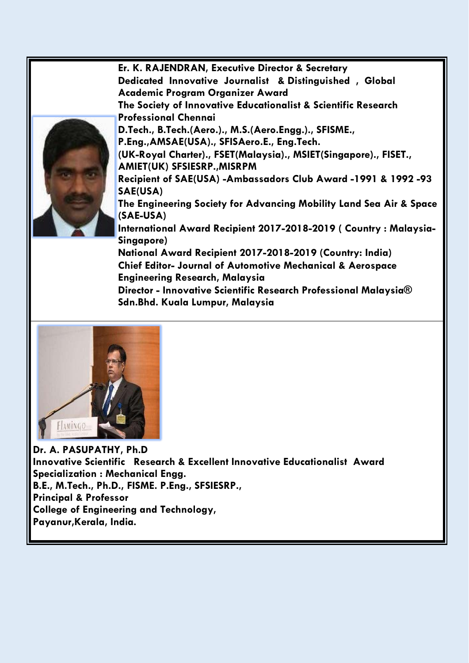

**Er. K. RAJENDRAN, Executive Director & Secretary Dedicated Innovative Journalist & Distinguished , Global Academic Program Organizer Award The Society of Innovative Educationalist & Scientific Research Professional Chennai D.Tech., B.Tech.(Aero.)., M.S.(Aero.Engg.)., SFISME., P.Eng.,AMSAE(USA)., SFISAero.E., Eng.Tech. (UK-Royal Charter)., FSET(Malaysia)., MSIET(Singapore)., FISET., AMIET(UK) SFSIESRP.,MISRPM Recipient of SAE(USA) -Ambassadors Club Award -1991 & 1992 -93 SAE(USA) The Engineering Society for Advancing Mobility Land Sea Air & Space (SAE-USA) International Award Recipient 2017-2018-2019 ( Country : Malaysia-Singapore) National Award Recipient 2017-2018-2019 (Country: India) Chief Editor- Journal of Automotive Mechanical & Aerospace Engineering Research, Malaysia Director - Innovative Scientific Research Professional Malaysia®** 

**Sdn.Bhd. Kuala Lumpur, Malaysia**



**Dr. A. PASUPATHY, Ph.D Innovative Scientific Research & Excellent Innovative Educationalist Award Specialization : Mechanical Engg. B.E., M.Tech., Ph.D., FISME. P.Eng., SFSIESRP., Principal & Professor College of Engineering and Technology, Payanur,Kerala, India.**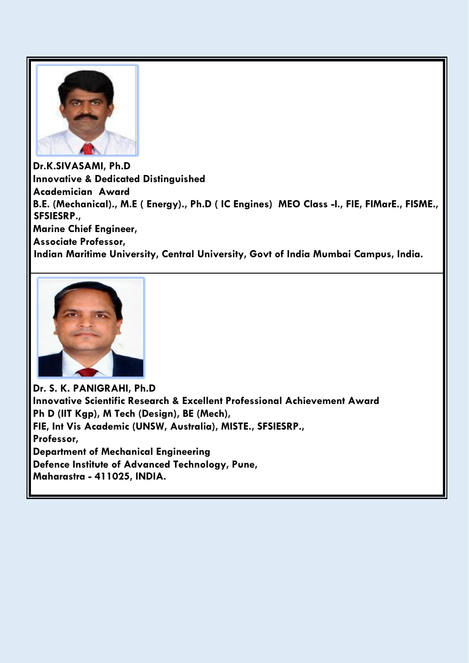

**Dr.K.SIVASAMI, Ph.D Innovative & Dedicated Distinguished Academician Award B.E. (Mechanical)., M.E ( Energy)., Ph.D ( IC Engines) MEO Class -I., FIE, FIMarE., FISME., SFSIESRP., Marine Chief Engineer, Associate Professor, Indian Maritime University, Central University, Govt of India Mumbai Campus, India.**



**Dr. S. K. PANIGRAHI, Ph.D Innovative Scientific Research & Excellent Professional Achievement Award Ph D (IIT Kgp), M Tech (Design), BE (Mech), FIE, Int Vis Academic (UNSW, Australia), MISTE., SFSIESRP., Professor, Department of Mechanical Engineering Defence Institute of Advanced Technology, Pune, Maharastra - 411025, INDIA.**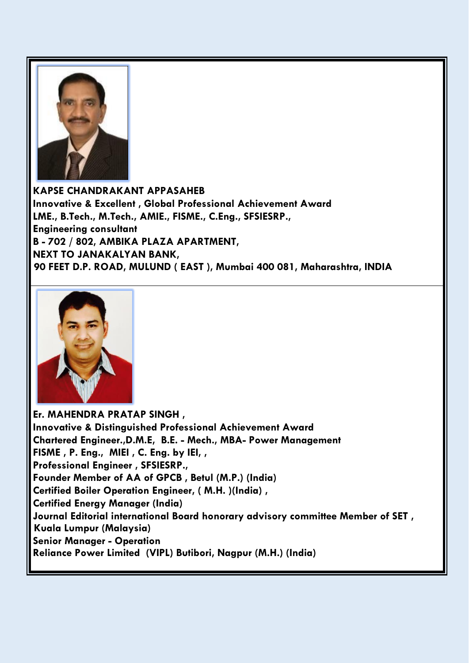

**KAPSE CHANDRAKANT APPASAHEB Innovative & Excellent , Global Professional Achievement Award LME., B.Tech., M.Tech., AMIE., FISME., C.Eng., SFSIESRP., Engineering consultant B - 702 / 802, AMBIKA PLAZA APARTMENT, NEXT TO JANAKALYAN BANK, 90 FEET D.P. ROAD, MULUND ( EAST ), Mumbai 400 081, Maharashtra, INDIA**



**Er. MAHENDRA PRATAP SINGH , Innovative & Distinguished Professional Achievement Award Chartered Engineer.,D.M.E, B.E. - Mech., MBA- Power Management FISME , P. Eng., MIEI , C. Eng. by IEI, , Professional Engineer , SFSIESRP., Founder Member of AA of GPCB , Betul (M.P.) (India) Certified Boiler Operation Engineer, ( M.H. )(India) , Certified Energy Manager (India) Journal Editorial international Board honorary advisory committee Member of SET , Kuala Lumpur (Malaysia) Senior Manager - Operation Reliance Power Limited (VIPL) Butibori, Nagpur (M.H.) (India)**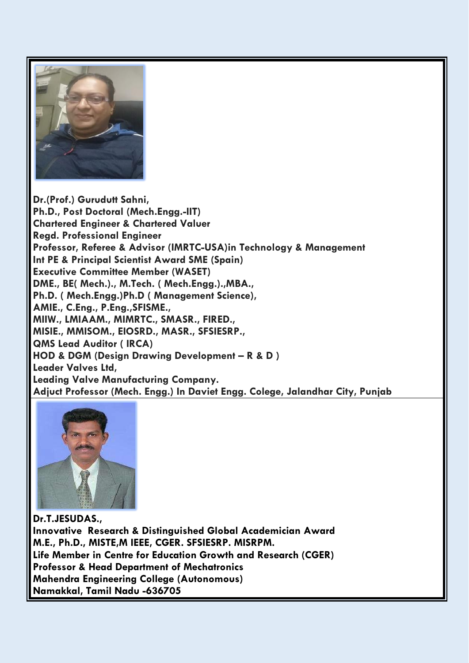

**Dr.(Prof.) Gurudutt Sahni, Ph.D., Post Doctoral (Mech.Engg.-IIT) Chartered Engineer & Chartered Valuer Regd. Professional Engineer Professor, Referee & Advisor (IMRTC-USA)in Technology & Management Int PE & Principal Scientist Award SME (Spain) Executive Committee Member (WASET) DME., BE( Mech.)., M.Tech. ( Mech.Engg.).,MBA., Ph.D. ( Mech.Engg.)Ph.D ( Management Science), AMIE., C.Eng., P.Eng.,SFISME., MIIW., LMIAAM., MIMRTC., SMASR., FIRED., MISIE., MMISOM., EIOSRD., MASR., SFSIESRP., QMS Lead Auditor ( IRCA) HOD & DGM (Design Drawing Development – R & D ) Leader Valves Ltd, Leading Valve Manufacturing Company. Adjuct Professor (Mech. Engg.) In Daviet Engg. Colege, Jalandhar City, Punjab**



**Dr.T.JESUDAS., Innovative Research & Distinguished Global Academician Award M.E., Ph.D., MISTE,M IEEE, CGER. SFSIESRP. MISRPM. Life Member in Centre for Education Growth and Research (CGER) Professor & Head Department of Mechatronics Mahendra Engineering College (Autonomous) Namakkal, Tamil Nadu -636705**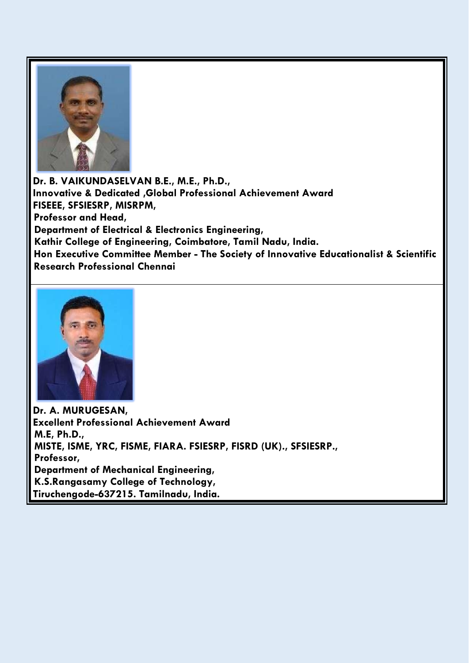

**Dr. B. VAIKUNDASELVAN B.E., M.E., Ph.D., Innovative & Dedicated ,Global Professional Achievement Award FISEEE, SFSIESRP, MISRPM, Professor and Head, Department of Electrical & Electronics Engineering, Kathir College of Engineering, Coimbatore, Tamil Nadu, India. Hon Executive Committee Member - The Society of Innovative Educationalist & Scientific Research Professional Chennai**



**Dr. A. MURUGESAN, Excellent Professional Achievement Award M.E, Ph.D., MISTE, ISME, YRC, FISME, FIARA. FSIESRP, FISRD (UK)., SFSIESRP., Professor, Department of Mechanical Engineering, K.S.Rangasamy College of Technology, Tiruchengode-637215. Tamilnadu, India.**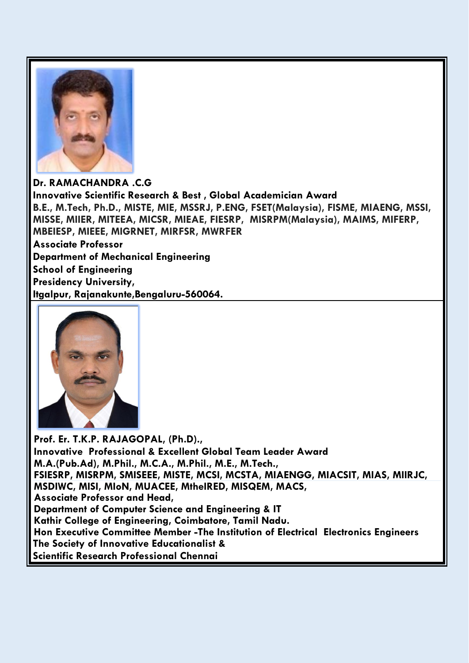

**Dr. RAMACHANDRA .C.G Innovative Scientific Research & Best , Global Academician Award B.E., M.Tech, Ph.D., MISTE, MIE, MSSRJ, P.ENG, FSET(Malaysia), FISME, MIAENG, MSSI, MISSE, MIIER, MITEEA, MICSR, MIEAE, FIESRP, MISRPM(Malaysia), MAIMS, MIFERP, MBEIESP, MIEEE, MIGRNET, MIRFSR, MWRFER Associate Professor Department of Mechanical Engineering School of Engineering Presidency University, Itgalpur, Rajanakunte,Bengaluru-560064.**



**Prof. Er. T.K.P. RAJAGOPAL, (Ph.D)., Innovative Professional & Excellent Global Team Leader Award M.A.(Pub.Ad), M.Phil., M.C.A., M.Phil., M.E., M.Tech., FSIESRP, MISRPM, SMISEEE, MISTE, MCSI, MCSTA, MIAENGG, MIACSIT, MIAS, MIIRJC, MSDIWC, MISI, MIoN, MUACEE, MtheIRED, MISQEM, MACS, Associate Professor and Head, Department of Computer Science and Engineering & IT Kathir College of Engineering, Coimbatore, Tamil Nadu. Hon Executive Committee Member -The Institution of Electrical Electronics Engineers The Society of Innovative Educationalist & Scientific Research Professional Chennai**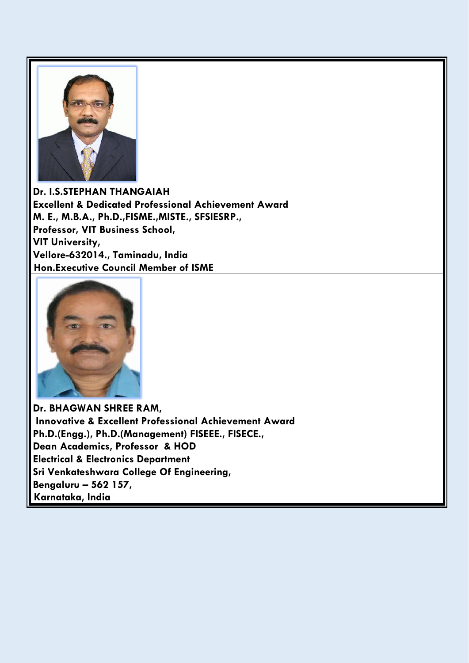

**Dr. I.S.STEPHAN THANGAIAH Excellent & Dedicated Professional Achievement Award M. E., M.B.A., Ph.D.,FISME.,MISTE., SFSIESRP., Professor, VIT Business School, VIT University, Vellore-632014., Taminadu, India Hon.Executive Council Member of ISME**



**Dr. BHAGWAN SHREE RAM, Innovative & Excellent Professional Achievement Award Ph.D.(Engg.), Ph.D.(Management) FISEEE., FISECE., Dean Academics, Professor & HOD Electrical & Electronics Department Sri Venkateshwara College Of Engineering, Bengaluru – 562 157, Karnataka, India**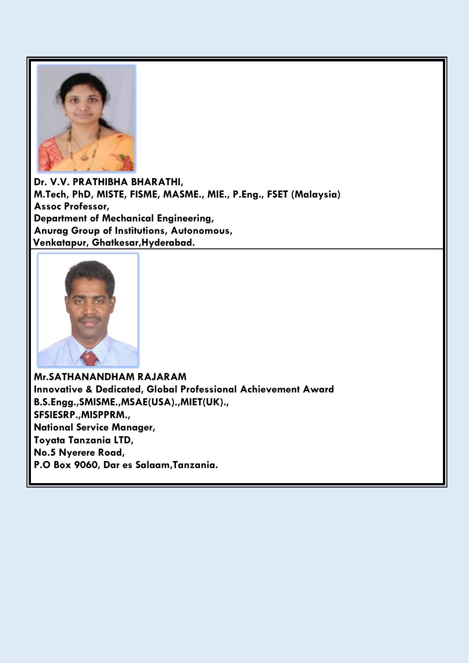

**Dr. V.V. PRATHIBHA BHARATHI, M.Tech, PhD, MISTE, FISME, MASME., MIE., P.Eng., FSET (Malaysia) Assoc Professor, Department of Mechanical Engineering, Anurag Group of Institutions, Autonomous, Venkatapur, Ghatkesar,Hyderabad.**



**Mr.SATHANANDHAM RAJARAM Innovative & Dedicated, Global Professional Achievement Award B.S.Engg.,SMISME.,MSAE(USA).,MIET(UK)., SFSIESRP.,MISPPRM., National Service Manager, Toyata Tanzania LTD, No.5 Nyerere Road, P.O Box 9060, Dar es Salaam,Tanzania.**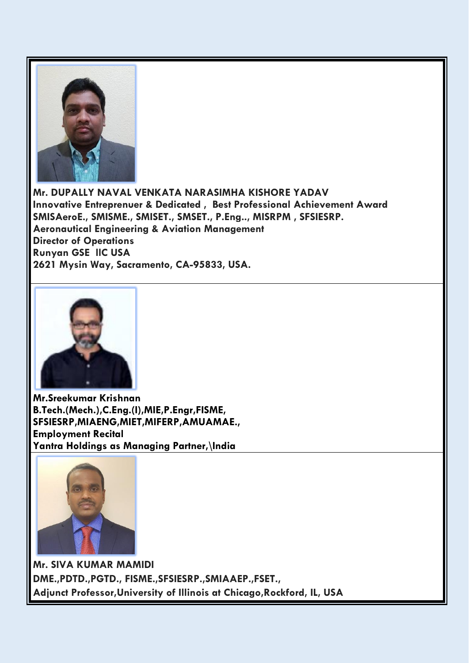

**Mr. DUPALLY NAVAL VENKATA NARASIMHA KISHORE YADAV Innovative Entreprenuer & Dedicated , Best Professional Achievement Award SMISAeroE., SMISME., SMISET., SMSET., P.Eng.., MISRPM , SFSIESRP. Aeronautical Engineering & Aviation Management Director of Operations Runyan GSE llC USA 2621 Mysin Way, Sacramento, CA-95833, USA.**



**Mr.Sreekumar Krishnan B.Tech.(Mech.),C.Eng.(I),MIE,P.Engr,FISME, SFSIESRP,MIAENG,MIET,MIFERP,AMUAMAE., Employment Recital Yantra Holdings as Managing Partner,\India**



**Mr. SIVA KUMAR MAMIDI DME.,PDTD.,PGTD., FISME.,SFSIESRP.,SMIAAEP.,FSET., Adjunct Professor,University of Illinois at Chicago,Rockford, IL, USA**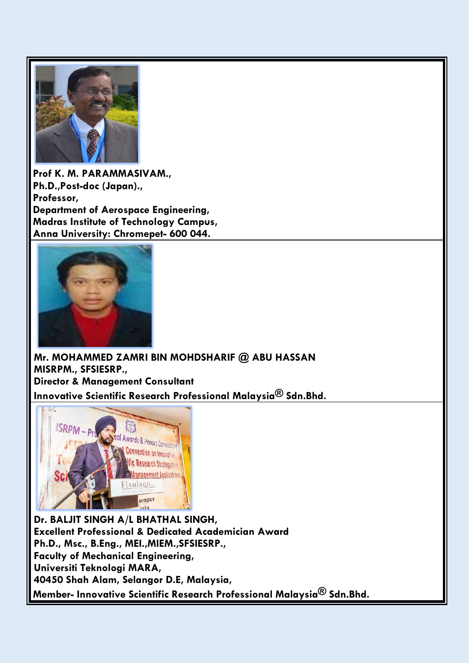

**Prof K. M. PARAMMASIVAM., Ph.D.,Post-doc (Japan)., Professor, Department of Aerospace Engineering, Madras Institute of Technology Campus, Anna University: Chromepet- 600 044.**



**Mr. MOHAMMED ZAMRI BIN MOHDSHARIF @ ABU HASSAN MISRPM., SFSIESRP., Director & Management Consultant Innovative Scientific Research Professional Malaysia® Sdn.Bhd.** 



**Dr. BALJIT SINGH A/L BHATHAL SINGH, Excellent Professional & Dedicated Academician Award Ph.D., Msc., B.Eng., MEI.,MIEM.,SFSIESRP., Faculty of Mechanical Engineering, Universiti Teknologi MARA, 40450 Shah Alam, Selangor D.E, Malaysia, Member- Innovative Scientific Research Professional Malaysia® Sdn.Bhd.**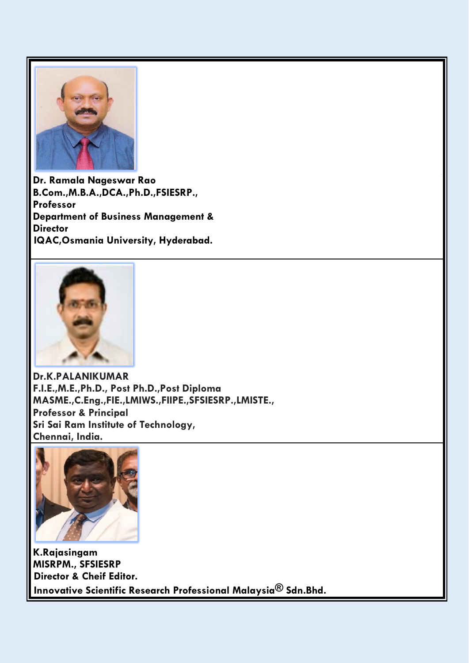

**Dr. Ramala Nageswar Rao B.Com.,M.B.A.,DCA.,Ph.D.,FSIESRP., Professor Department of Business Management & Director IQAC,Osmania University, Hyderabad.**



**Dr.K.PALANIKUMAR F.I.E.,M.E.,Ph.D., Post Ph.D.,Post Diploma MASME.,C.Eng.,FIE.,LMIWS.,FIIPE.,SFSIESRP.,LMISTE., Professor & Principal Sri Sai Ram Institute of Technology, Chennai, India.**



**K.Rajasingam MISRPM., SFSIESRP Director & Cheif Editor. Innovative Scientific Research Professional Malaysia® Sdn.Bhd.**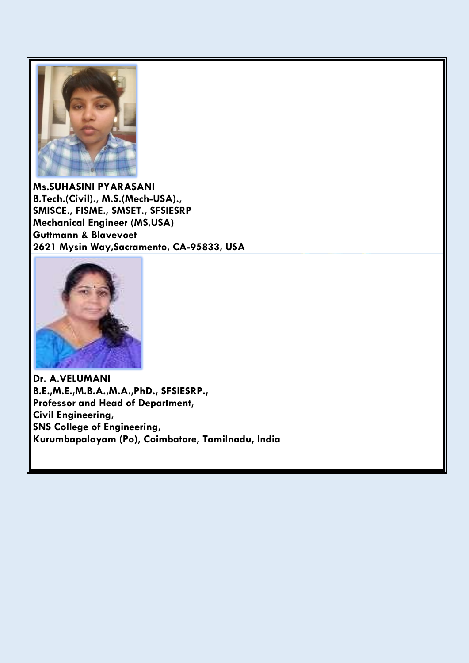

**Ms.SUHASINI PYARASANI B.Tech.(Civil)., M.S.(Mech-USA)., SMISCE., FISME., SMSET., SFSIESRP Mechanical Engineer (MS,USA) Guttmann & Blavevoet [2621 Mysin Way,Sacramento, CA-95833, USA](https://maps.google.com/?q=2621+Mysin+Way,+Sacramento,+CA-95833,+USA&entry=gmail&source=g)**



**Dr. A.VELUMANI B.E.,M.E.,M.B.A.,M.A.,PhD., SFSIESRP., Professor and Head of Department, Civil Engineering, SNS College of Engineering, Kurumbapalayam (Po), Coimbatore, Tamilnadu, India**